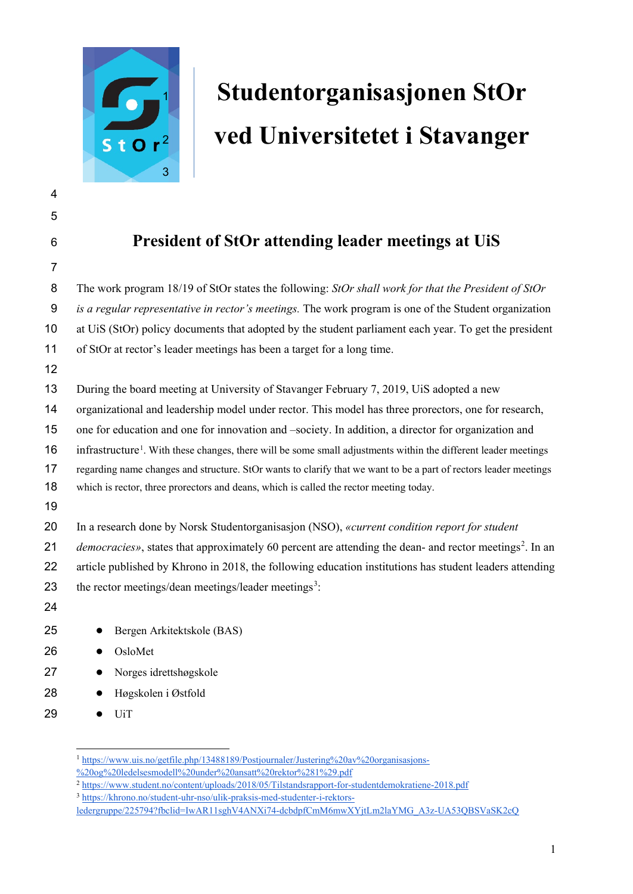

## **Studentorganisasjonen StOr ved Universitetet i Stavanger**

| ۳<br>__ |  |
|---------|--|
|         |  |

- 
- 

## **President of StOr attending leader meetings at UiS**

| $\overline{7}$   |                                                                                                                             |  |
|------------------|-----------------------------------------------------------------------------------------------------------------------------|--|
| 8                | The work program 18/19 of StOr states the following: StOr shall work for that the President of StOr                         |  |
| $\boldsymbol{9}$ | is a regular representative in rector's meetings. The work program is one of the Student organization                       |  |
| 10               | at UiS (StOr) policy documents that adopted by the student parliament each year. To get the president                       |  |
| 11               | of StOr at rector's leader meetings has been a target for a long time.                                                      |  |
| 12               |                                                                                                                             |  |
| 13               | During the board meeting at University of Stavanger February 7, 2019, UiS adopted a new                                     |  |
| 14               | organizational and leadership model under rector. This model has three prorectors, one for research,                        |  |
| 15               | one for education and one for innovation and -society. In addition, a director for organization and                         |  |
| 16               | infrastructure <sup>1</sup> . With these changes, there will be some small adjustments within the different leader meetings |  |
| 17               | regarding name changes and structure. StOr wants to clarify that we want to be a part of rectors leader meetings            |  |
| 18               | which is rector, three prorectors and deans, which is called the rector meeting today.                                      |  |
| 19               |                                                                                                                             |  |
| 20               | In a research done by Norsk Studentorganisasjon (NSO), «current condition report for student                                |  |
| 21               | democracies», states that approximately 60 percent are attending the dean- and rector meetings <sup>2</sup> . In an         |  |
| 22               | article published by Khrono in 2018, the following education institutions has student leaders attending                     |  |
| 23               | the rector meetings/dean meetings/leader meetings <sup>3</sup> :                                                            |  |
| 24               |                                                                                                                             |  |
| 25               | Bergen Arkitektskole (BAS)                                                                                                  |  |
| 26               | OsloMet<br>$\bullet$                                                                                                        |  |
| 27               | Norges idrettshøgskole<br>$\bullet$                                                                                         |  |
| 28               | Høgskolen i Østfold<br>$\bullet$                                                                                            |  |
| 29               | UiT<br>$\bullet$                                                                                                            |  |

<sup>1</sup> [https://www.uis.no/getfile.php/13488189/Postjournaler/Justering%20av%20organisasjons-](https://www.uis.no/getfile.php/13488189/Postjournaler/Justering%20av%20organisasjons-%20og%20ledelsesmodell%20under%20ansatt%20rektor%281%29.pdf)

<span id="page-0-0"></span>[<sup>%20</sup>og%20ledelsesmodell%20under%20ansatt%20rektor%281%29.pdf](https://www.uis.no/getfile.php/13488189/Postjournaler/Justering%20av%20organisasjons-%20og%20ledelsesmodell%20under%20ansatt%20rektor%281%29.pdf)

<span id="page-0-1"></span><https://www.student.no/content/uploads/2018/05/Tilstandsrapport-for-studentdemokratiene-2018.pdf>

<span id="page-0-2"></span>[https://khrono.no/student-uhr-nso/ulik-praksis-med-studenter-i-rektors-](https://khrono.no/student-uhr-nso/ulik-praksis-med-studenter-i-rektors-ledergruppe/225794?fbclid=IwAR11sghV4ANXi74-dcbdpfCmM6mwXYjtLm2laYMG_A3z-UA53QBSVaSK2cQ)

[ledergruppe/225794?fbclid=IwAR11sghV4ANXi74-dcbdpfCmM6mwXYjtLm2laYMG\\_A3z-UA53QBSVaSK2cQ](https://khrono.no/student-uhr-nso/ulik-praksis-med-studenter-i-rektors-ledergruppe/225794?fbclid=IwAR11sghV4ANXi74-dcbdpfCmM6mwXYjtLm2laYMG_A3z-UA53QBSVaSK2cQ)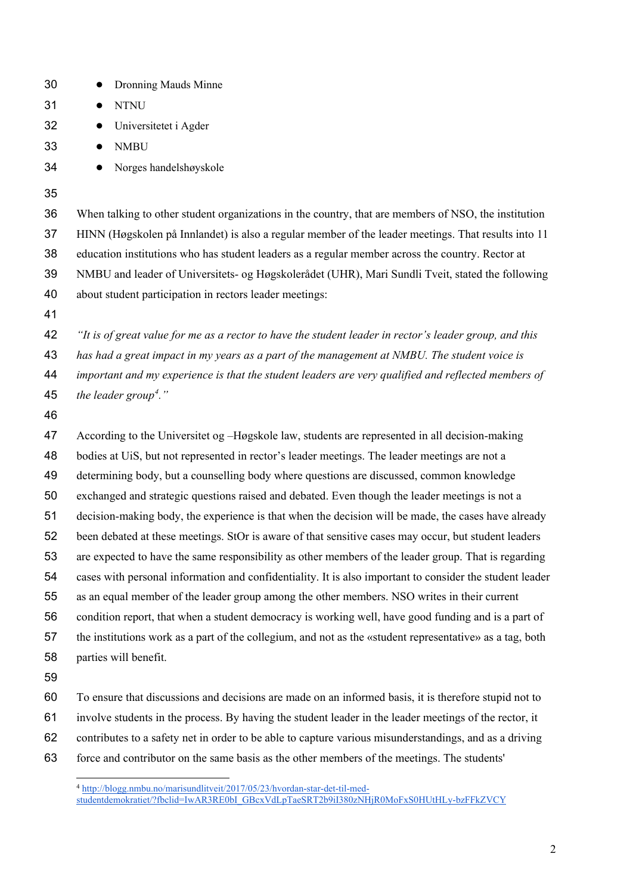<span id="page-1-0"></span>

| 30 | Dronning Mauds Minne<br>$\bullet$                                                                                                                                       |
|----|-------------------------------------------------------------------------------------------------------------------------------------------------------------------------|
| 31 | <b>NTNU</b><br>$\bullet$                                                                                                                                                |
| 32 | Universitetet i Agder<br>$\bullet$                                                                                                                                      |
| 33 | <b>NMBU</b><br>$\bullet$                                                                                                                                                |
| 34 | Norges handelshøyskole                                                                                                                                                  |
| 35 |                                                                                                                                                                         |
| 36 | When talking to other student organizations in the country, that are members of NSO, the institution                                                                    |
| 37 | HINN (Høgskolen på Innlandet) is also a regular member of the leader meetings. That results into 11                                                                     |
| 38 | education institutions who has student leaders as a regular member across the country. Rector at                                                                        |
| 39 | NMBU and leader of Universitets- og Høgskolerådet (UHR), Mari Sundli Tveit, stated the following                                                                        |
| 40 | about student participation in rectors leader meetings:                                                                                                                 |
| 41 |                                                                                                                                                                         |
| 42 | "It is of great value for me as a rector to have the student leader in rector's leader group, and this                                                                  |
| 43 | has had a great impact in my years as a part of the management at NMBU. The student voice is                                                                            |
| 44 | important and my experience is that the student leaders are very qualified and reflected members of                                                                     |
| 45 | the leader group <sup>4</sup> ."                                                                                                                                        |
| 46 |                                                                                                                                                                         |
| 47 | According to the Universitet og -Høgskole law, students are represented in all decision-making                                                                          |
| 48 | bodies at UiS, but not represented in rector's leader meetings. The leader meetings are not a                                                                           |
| 49 | determining body, but a counselling body where questions are discussed, common knowledge                                                                                |
| 50 | exchanged and strategic questions raised and debated. Even though the leader meetings is not a                                                                          |
| 51 | decision-making body, the experience is that when the decision will be made, the cases have already                                                                     |
| 52 | been debated at these meetings. StOr is aware of that sensitive cases may occur, but student leaders                                                                    |
| 53 | are expected to have the same responsibility as other members of the leader group. That is regarding                                                                    |
| 54 | cases with personal information and confidentiality. It is also important to consider the student leader                                                                |
| 55 | as an equal member of the leader group among the other members. NSO writes in their current                                                                             |
| 56 | condition report, that when a student democracy is working well, have good funding and is a part of                                                                     |
| 57 | the institutions work as a part of the collegium, and not as the «student representative» as a tag, both                                                                |
| 58 | parties will benefit.                                                                                                                                                   |
| 59 |                                                                                                                                                                         |
| 60 | To ensure that discussions and decisions are made on an informed basis, it is therefore stupid not to                                                                   |
| 61 | involve students in the process. By having the student leader in the leader meetings of the rector, it                                                                  |
| 62 | contributes to a safety net in order to be able to capture various misunderstandings, and as a driving                                                                  |
| 63 | force and contributor on the same basis as the other members of the meetings. The students'                                                                             |
|    | 4 http://blogg.nmbu.no/marisundlitveit/2017/05/23/hvordan-star-det-til-med-<br>studentdemokratiet/?fbclid=IwAR3RE0bI GBcxVdLpTaeSRT2b9iI380zNHjR0MoFxS0HUtHLy-bzFFkZVCY |